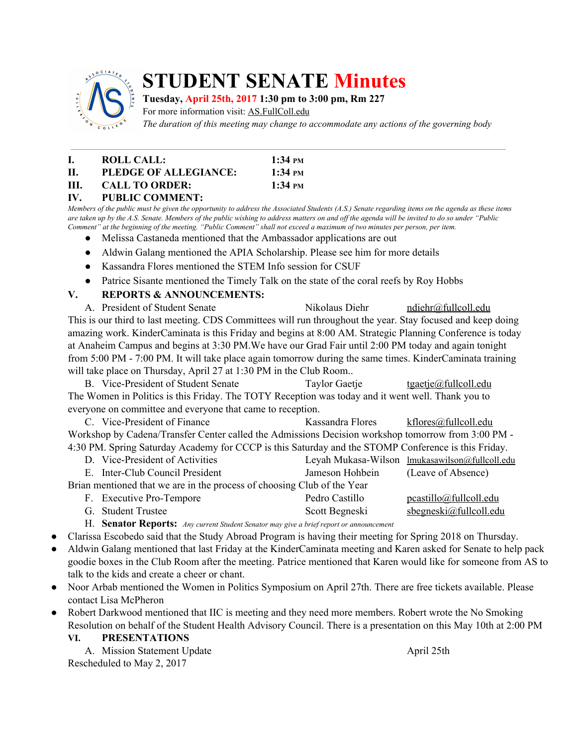

# **STUDENT SENATE Minutes**

#### **Tuesday, April 25th, 2017 1:30 pm to 3:00 pm, Rm 227**

For more information visit: AS.FullColl.edu

*The duration of this meeting may change to accommodate any actions of the governing body*

- **I. ROLL CALL: 1:34 PM II. PLEDGE OF ALLEGIANCE: 1:34 PM III. CALL TO ORDER: 1:34 PM**
- **IV. PUBLIC COMMENT:**

Members of the public must be given the opportunity to address the Associated Students (A.S.) Senate regarding items on the agenda as these items are taken up by the A.S. Senate. Members of the public wishing to address matters on and off the agenda will be invited to do so under "Public Comment" at the beginning of the meeting. "Public Comment" shall not exceed a maximum of two minutes per person, per item.

- Melissa Castaneda mentioned that the Ambassador applications are out
- Aldwin Galang mentioned the APIA Scholarship. Please see him for more details
- Kassandra Flores mentioned the STEM Info session for CSUF
- Patrice Sisante mentioned the Timely Talk on the state of the coral reefs by Roy Hobbs
- **V. REPORTS & ANNOUNCEMENTS:**

A. President of Student Senate Nikolaus Diehr [ndiehr@fullcoll.edu](mailto:ndiehr@fullcoll.edu) This is our third to last meeting. CDS Committees will run throughout the year. Stay focused and keep doing amazing work. KinderCaminata is this Friday and begins at 8:00 AM. Strategic Planning Conference is today at Anaheim Campus and begins at 3:30 PM.We have our Grad Fair until 2:00 PM today and again tonight from 5:00 PM - 7:00 PM. It will take place again tomorrow during the same times. KinderCaminata training will take place on Thursday, April 27 at 1:30 PM in the Club Room..

B. Vice-President of Student Senate Taylor Gaetje [tgaetje@fullcoll.edu](mailto:tgaetje@fullcoll.edu) The Women in Politics is this Friday. The TOTY Reception was today and it went well. Thank you to everyone on committee and everyone that came to reception.

C. Vice-President of Finance Kassandra Flores [kflores@fullcoll.edu](mailto:kflores@fullcoll.edu) Workshop by Cadena/Transfer Center called the Admissions Decision workshop tomorrow from 3:00 PM - 4:30 PM. Spring Saturday Academy for CCCP is this Saturday and the STOMP Conference is this Friday.

|                                                                         | D. Vice-President of Activities |                 | Leyah Mukasa-Wilson lmukasawilson@fullcoll.edu |  |  |
|-------------------------------------------------------------------------|---------------------------------|-----------------|------------------------------------------------|--|--|
|                                                                         | E. Inter-Club Council President | Jameson Hohbein | (Leave of Absence)                             |  |  |
| Brian mentioned that we are in the process of choosing Club of the Year |                                 |                 |                                                |  |  |
|                                                                         | F. Executive Pro-Tempore        | Pedro Castillo  | <u>pcastillo@fullcoll.edu</u>                  |  |  |
|                                                                         | G. Student Trustee              | Scott Begneski  | $s$ begneski@fullcoll.edu                      |  |  |

H. **Senator Reports:** *Any current Student Senator may give <sup>a</sup> brief report or announcement*

- Clarissa Escobedo said that the Study Abroad Program is having their meeting for Spring 2018 on Thursday.
- Aldwin Galang mentioned that last Friday at the KinderCaminata meeting and Karen asked for Senate to help pack goodie boxes in the Club Room after the meeting. Patrice mentioned that Karen would like for someone from AS to talk to the kids and create a cheer or chant.
- Noor Arbab mentioned the Women in Politics Symposium on April 27th. There are free tickets available. Please contact Lisa McPheron
- Robert Darkwood mentioned that IIC is meeting and they need more members. Robert wrote the No Smoking Resolution on behalf of the Student Health Advisory Council. There is a presentation on this May 10th at 2:00 PM

## **VI. PRESENTATIONS**

A. Mission Statement Update April 25th Rescheduled to May 2, 2017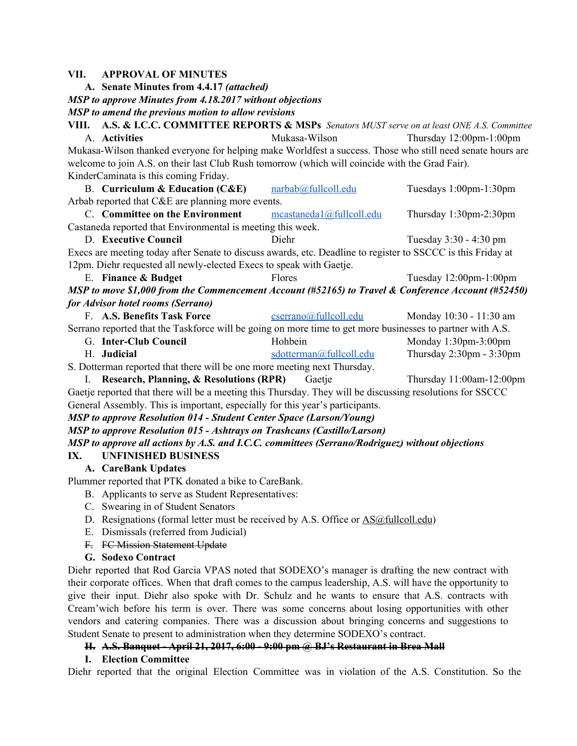#### **VII. APPROVAL OF MINUTES**

**A. Senate Minutes from 4.4.17** *(attached)*

*MSP to approve Minutes from 4.18.2017 without objections*

*MSP to amend the previous motion to allow revisions*

**VIII. A.S. & I.C.C. COMMITTEE REPORTS & MSPs** *Senators MUST serve on at least ONE A.S. Committee* A. **Activities** Mukasa-Wilson Thursday 12:00pm-1:00pm Mukasa-Wilson thanked everyone for helping make Worldfest a success. Those who still need senate hours are welcome to join A.S. on their last Club Rush tomorrow (which will coincide with the Grad Fair). KinderCaminata is this coming Friday.

B. **Curriculum & Education (C&E)** [narbab@fullcoll.edu](mailto:narbab@fullcoll.edu) Tuesdays 1:00pm-1:30pm Arbab reported that C&E are planning more events.

C. **Committee on the Environment** [mcastaneda1@fullcoll.edu](mailto:mcastaneda1@fullcoll.edu) Thursday 1:30pm-2:30pm Castaneda reported that Environmental is meeting this week.

D. **Executive Council** Diehr Diehr Tuesday 3:30 - 4:30 pm Execs are meeting today after Senate to discuss awards, etc. Deadline to register to SSCCC is this Friday at

12pm. Diehr requested all newly-elected Execs to speak with Gaetje.

E. **Finance & Budget** Flores Tuesday 12:00pm-1:00pm

*MSP to move \$1,000 from the Commencement Account (#52165) to Travel & Conference Account (#52450) for Advisor hotel rooms (Serrano)*

| F. A.S. Benefits Task Force                                                                                | $c\text{serrano@fullcoll.edu}$ | Monday 10:30 - 11:30 am |
|------------------------------------------------------------------------------------------------------------|--------------------------------|-------------------------|
| Serrano reported that the Taskforce will be going on more time to get more businesses to partner with A.S. |                                |                         |

G. **Inter-Club Council** Hohbein Monday 1:30pm-3:00pm H. **Judicial** [sdotterman@fullcoll.edu](mailto:sdotterman@fullcoll.edu) Thursday 2:30pm - 3:30pm

S. Dotterman reported that there will be one more meeting next Thursday.

I. **Research, Planning, & Resolutions (RPR)** Gaetje Thursday 11:00am-12:00pm

Gaetje reported that there will be a meeting this Thursday. They will be discussing resolutions for SSCCC General Assembly. This is important, especially for this year's participants.

#### *MSP to approve Resolution 014 - Student Center Space (Larson/Young)*

*MSP to approve Resolution 015 - Ashtrays on Trashcans (Castillo/Larson)*

*MSP to approve all actions by A.S. and I.C.C. committees (Serrano/Rodriguez) without objections*

#### **IX. UNFINISHED BUSINESS**

#### **A. CareBank Updates**

Plummer reported that PTK donated a bike to CareBank.

- B. Applicants to serve as Student Representatives:
- C. Swearing in of Student Senators
- D. Resignations (formal letter must be received by A.S. Office or [AS@fullcoll.edu\)](mailto:AS@fullcoll.edu)
- E. Dismissals (referred from Judicial)
- F. FC Mission Statement Update
- **G. Sodexo Contract**

Diehr reported that Rod Garcia VPAS noted that SODEXO's manager is drafting the new contract with their corporate offices. When that draft comes to the campus leadership, A.S. will have the opportunity to give their input. Diehr also spoke with Dr. Schulz and he wants to ensure that A.S. contracts with Cream'wich before his term is over. There was some concerns about losing opportunities with other vendors and catering companies. There was a discussion about bringing concerns and suggestions to Student Senate to present to administration when they determine SODEXO's contract.

#### **H. A.S. Banquet - April 21, 2017, 6:00 - 9:00 pm @ BJ's Restaurant in Brea Mall**

#### **I. Election Committee**

Diehr reported that the original Election Committee was in violation of the A.S. Constitution. So the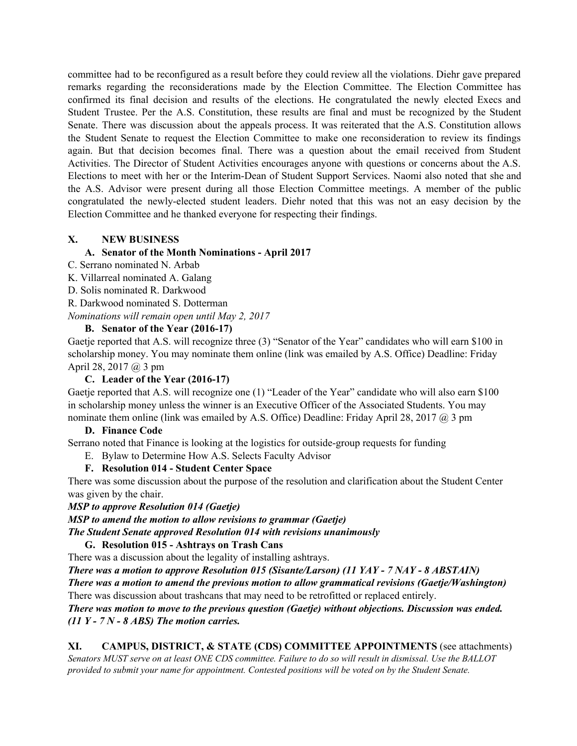committee had to be reconfigured as a result before they could review all the violations. Diehr gave prepared remarks regarding the reconsiderations made by the Election Committee. The Election Committee has confirmed its final decision and results of the elections. He congratulated the newly elected Execs and Student Trustee. Per the A.S. Constitution, these results are final and must be recognized by the Student Senate. There was discussion about the appeals process. It was reiterated that the A.S. Constitution allows the Student Senate to request the Election Committee to make one reconsideration to review its findings again. But that decision becomes final. There was a question about the email received from Student Activities. The Director of Student Activities encourages anyone with questions or concerns about the A.S. Elections to meet with her or the Interim-Dean of Student Support Services. Naomi also noted that she and the A.S. Advisor were present during all those Election Committee meetings. A member of the public congratulated the newly-elected student leaders. Diehr noted that this was not an easy decision by the Election Committee and he thanked everyone for respecting their findings.

#### **X. NEW BUSINESS**

## **A. Senator of the Month Nominations - April 2017**

- C. Serrano nominated N. Arbab
- K. Villarreal nominated A. Galang
- D. Solis nominated R. Darkwood
- R. Darkwood nominated S. Dotterman

*Nominations will remain open until May 2, 2017*

## **B. Senator of the Year (2016-17)**

Gaetje reported that A.S. will recognize three (3) "Senator of the Year" candidates who will earn \$100 in scholarship money. You may nominate them online (link was emailed by A.S. Office) Deadline: Friday April 28, 2017 @ 3 pm

#### **C. Leader of the Year (2016-17)**

Gaetje reported that A.S. will recognize one (1) "Leader of the Year" candidate who will also earn \$100 in scholarship money unless the winner is an Executive Officer of the Associated Students. You may nominate them online (link was emailed by A.S. Office) Deadline: Friday April 28, 2017 @ 3 pm

#### **D. Finance Code**

Serrano noted that Finance is looking at the logistics for outside-group requests for funding

E. Bylaw to Determine How A.S. Selects Faculty Advisor

## **F. Resolution 014 - Student Center Space**

There was some discussion about the purpose of the resolution and clarification about the Student Center was given by the chair.

#### *MSP to approve Resolution 014 (Gaetje)*

*MSP to amend the motion to allow revisions to grammar (Gaetje)*

*The Student Senate approved Resolution 014 with revisions unanimously*

#### **G. Resolution 015 - Ashtrays on Trash Cans**

There was a discussion about the legality of installing ashtrays.

*There was a motion to approve Resolution 015 (Sisante/Larson) (11 YAY - 7 NAY - 8 ABSTAIN)*

*There was a motion to amend the previous motion to allow grammatical revisions (Gaetje/Washington)* There was discussion about trashcans that may need to be retrofitted or replaced entirely.

#### *There was motion to move to the previous question (Gaetje) without objections. Discussion was ended. (11 Y - 7 N - 8 ABS) The motion carries.*

## **XI. CAMPUS, DISTRICT, & STATE (CDS) COMMITTEE APPOINTMENTS** (see attachments)

Senators MUST serve on at least ONE CDS committee. Failure to do so will result in dismissal. Use the BALLOT *provided to submit your name for appointment. Contested positions will be voted on by the Student Senate.*